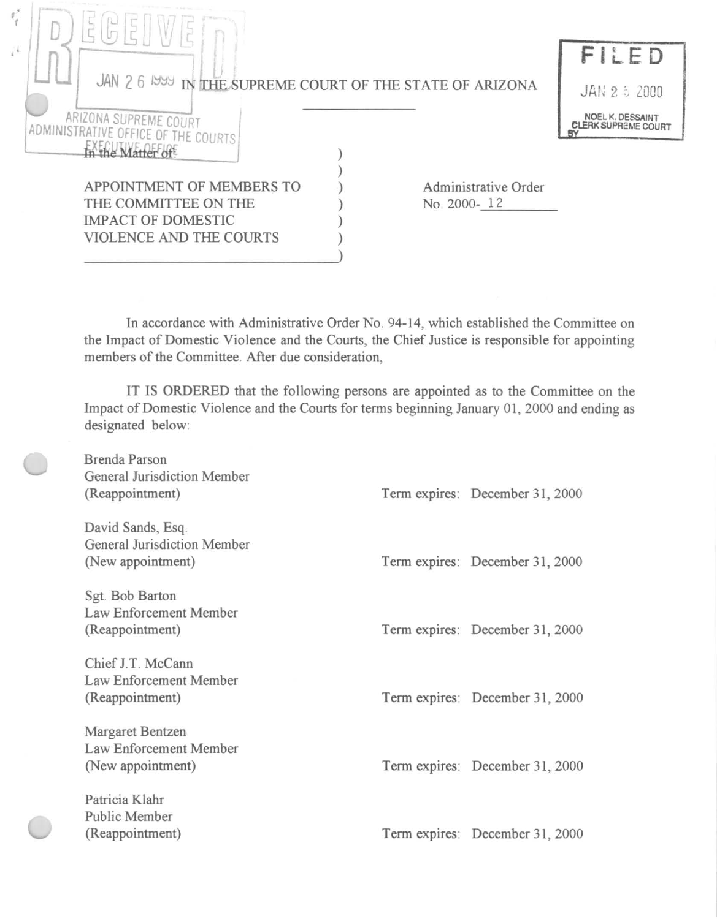| Chattering a                                                  |                                         |
|---------------------------------------------------------------|-----------------------------------------|
|                                                               | FILED                                   |
| JAN 2 6 1999 IN THE SUPREME COURT OF THE STATE OF ARIZONA     | JAN 2 5 2000                            |
| ARIZONA SUPREME COURT<br>ADMINISTRATIVE OFFICE OF THE COURTS' | NOEL K. DESSAINT<br>CLERK SUPREME COURT |
| the Matter of                                                 |                                         |
| APPOINTMENT OF MEMBERS TO<br>Administrative Order             |                                         |
| THE COMMITTEE ON THE<br>No. 2000-12                           |                                         |
| <b>IMPACT OF DOMESTIC</b>                                     |                                         |
| VIOLENCE AND THE COURTS                                       |                                         |
|                                                               |                                         |

In accordance with Administrative Order No. 94-14, which established the Committee on the Impact of Domestic Violence and the Courts, the Chief Justice is responsible for appointing members of the Committee. After due consideration,

IT IS ORDERED that the following persons are appointed as to the Committee on the Impact of Domestic Violence and the Courts for terms beginning January 01, 2000 and ending as designated below:

| Brenda Parson<br>General Jurisdiction Member<br>(Reappointment)       | Term expires: December 31, 2000 |
|-----------------------------------------------------------------------|---------------------------------|
| David Sands, Esq.<br>General Jurisdiction Member<br>(New appointment) | Term expires: December 31, 2000 |
| Sgt. Bob Barton<br>Law Enforcement Member<br>(Reappointment)          | Term expires: December 31, 2000 |
| Chief J.T. McCann<br>Law Enforcement Member<br>(Reappointment)        | Term expires: December 31, 2000 |
| Margaret Bentzen<br>Law Enforcement Member<br>(New appointment)       | Term expires: December 31, 2000 |
| Patricia Klahr<br>Public Member<br>(Reappointment)                    | Term expires: December 31, 2000 |